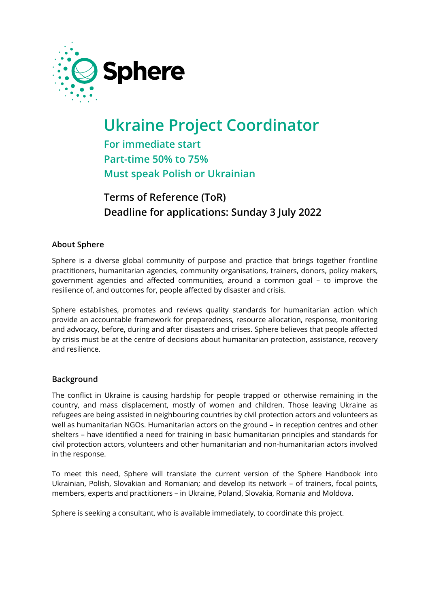

# **Ukraine Project Coordinator**

**For immediate start Part-time 50% to 75% Must speak Polish or Ukrainian**

# **Terms of Reference (ToR) Deadline for applications: Sunday 3 July 2022**

### **About Sphere**

Sphere is a diverse global community of purpose and practice that brings together frontline practitioners, humanitarian agencies, community organisations, trainers, donors, policy makers, government agencies and affected communities, around a common goal – to improve the resilience of, and outcomes for, people affected by disaster and crisis.

Sphere establishes, promotes and reviews quality standards for humanitarian action which provide an accountable framework for preparedness, resource allocation, response, monitoring and advocacy, before, during and after disasters and crises. Sphere believes that people affected by crisis must be at the centre of decisions about humanitarian protection, assistance, recovery and resilience.

#### **Background**

The conflict in Ukraine is causing hardship for people trapped or otherwise remaining in the country, and mass displacement, mostly of women and children. Those leaving Ukraine as refugees are being assisted in neighbouring countries by civil protection actors and volunteers as well as humanitarian NGOs. Humanitarian actors on the ground – in reception centres and other shelters – have identified a need for training in basic humanitarian principles and standards for civil protection actors, volunteers and other humanitarian and non-humanitarian actors involved in the response.

To meet this need, Sphere will translate the current version of the Sphere Handbook into Ukrainian, Polish, Slovakian and Romanian; and develop its network – of trainers, focal points, members, experts and practitioners – in Ukraine, Poland, Slovakia, Romania and Moldova.

Sphere is seeking a consultant, who is available immediately, to coordinate this project.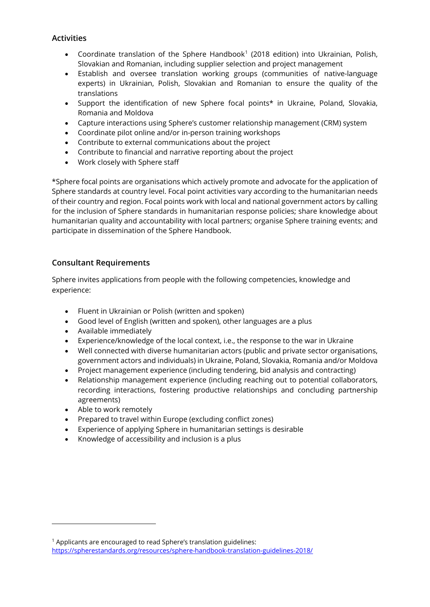#### **Activities**

- Coordinate translation of the Sphere Handbook<sup>[1](#page-1-0)</sup> (2018 edition) into Ukrainian, Polish, Slovakian and Romanian, including supplier selection and project management
- Establish and oversee translation working groups (communities of native-language experts) in Ukrainian, Polish, Slovakian and Romanian to ensure the quality of the translations
- Support the identification of new Sphere focal points\* in Ukraine, Poland, Slovakia, Romania and Moldova
- Capture interactions using Sphere's customer relationship management (CRM) system
- Coordinate pilot online and/or in-person training workshops
- Contribute to external communications about the project
- Contribute to financial and narrative reporting about the project
- Work closely with Sphere staff

\*Sphere focal points are organisations which actively promote and advocate for the application of Sphere standards at country level. Focal point activities vary according to the humanitarian needs of their country and region. Focal points work with local and national government actors by calling for the inclusion of Sphere standards in humanitarian response policies; share knowledge about humanitarian quality and accountability with local partners; organise Sphere training events; and participate in dissemination of the Sphere Handbook.

#### **Consultant Requirements**

Sphere invites applications from people with the following competencies, knowledge and experience:

- Fluent in Ukrainian or Polish (written and spoken)
- Good level of English (written and spoken), other languages are a plus
- Available immediately
- Experience/knowledge of the local context, i.e., the response to the war in Ukraine
- Well connected with diverse humanitarian actors (public and private sector organisations, government actors and individuals) in Ukraine, Poland, Slovakia, Romania and/or Moldova
- Project management experience (including tendering, bid analysis and contracting)
- Relationship management experience (including reaching out to potential collaborators, recording interactions, fostering productive relationships and concluding partnership agreements)
- Able to work remotely
- Prepared to travel within Europe (excluding conflict zones)
- Experience of applying Sphere in humanitarian settings is desirable
- Knowledge of accessibility and inclusion is a plus

<span id="page-1-0"></span><sup>1</sup> Applicants are encouraged to read Sphere's translation guidelines: <https://spherestandards.org/resources/sphere-handbook-translation-guidelines-2018/>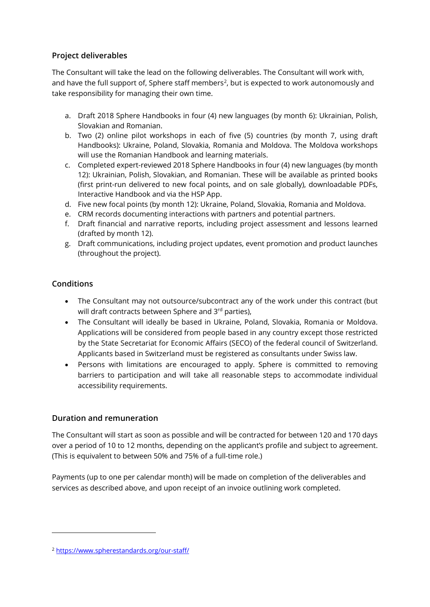## **Project deliverables**

The Consultant will take the lead on the following deliverables. The Consultant will work with, and have the full support of, Sphere staff members<sup>2</sup>, but is expected to work autonomously and take responsibility for managing their own time.

- a. Draft 2018 Sphere Handbooks in four (4) new languages (by month 6): Ukrainian, Polish, Slovakian and Romanian.
- b. Two (2) online pilot workshops in each of five (5) countries (by month 7, using draft Handbooks): Ukraine, Poland, Slovakia, Romania and Moldova. The Moldova workshops will use the Romanian Handbook and learning materials.
- c. Completed expert-reviewed 2018 Sphere Handbooks in four (4) new languages (by month 12): Ukrainian, Polish, Slovakian, and Romanian. These will be available as printed books (first print-run delivered to new focal points, and on sale globally), downloadable PDFs, Interactive Handbook and via the HSP App.
- d. Five new focal points (by month 12): Ukraine, Poland, Slovakia, Romania and Moldova.
- e. CRM records documenting interactions with partners and potential partners.
- f. Draft financial and narrative reports, including project assessment and lessons learned (drafted by month 12).
- g. Draft communications, including project updates, event promotion and product launches (throughout the project).

### **Conditions**

- The Consultant may not outsource/subcontract any of the work under this contract (but will draft contracts between Sphere and 3rd parties),
- The Consultant will ideally be based in Ukraine, Poland, Slovakia, Romania or Moldova. Applications will be considered from people based in any country except those restricted by the State Secretariat for Economic Affairs (SECO) of the federal council of Switzerland. Applicants based in Switzerland must be registered as consultants under Swiss law.
- Persons with limitations are encouraged to apply. Sphere is committed to removing barriers to participation and will take all reasonable steps to accommodate individual accessibility requirements.

# **Duration and remuneration**

The Consultant will start as soon as possible and will be contracted for between 120 and 170 days over a period of 10 to 12 months, depending on the applicant's profile and subject to agreement. (This is equivalent to between 50% and 75% of a full-time role.)

Payments (up to one per calendar month) will be made on completion of the deliverables and services as described above, and upon receipt of an invoice outlining work completed.

<span id="page-2-0"></span><sup>2</sup> <https://www.spherestandards.org/our-staff/>